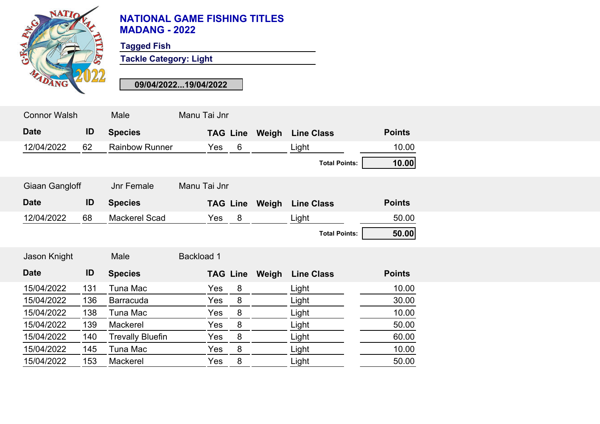

## **NATIONAL GAME FISHING TITLES MADANG - 2022**

**Tagged Fish**

**Tackle Category: Light**

**09/04/2022...19/04/2022**

| <b>Connor Walsh</b> |     | Male                    | Manu Tai Jnr           |                       |                      |               |  |
|---------------------|-----|-------------------------|------------------------|-----------------------|----------------------|---------------|--|
| <b>Date</b>         | ID  | <b>Species</b>          |                        | <b>TAG Line Weigh</b> | <b>Line Class</b>    | <b>Points</b> |  |
| 12/04/2022          | 62  | <b>Rainbow Runner</b>   | $6\phantom{1}6$<br>Yes |                       | Light                | 10.00         |  |
|                     |     |                         |                        |                       | <b>Total Points:</b> | 10.00         |  |
| Giaan Gangloff      |     | <b>Jnr Female</b>       | Manu Tai Jnr           |                       |                      |               |  |
| <b>Date</b>         | ID  | <b>Species</b>          |                        | <b>TAG Line Weigh</b> | <b>Line Class</b>    | <b>Points</b> |  |
| 12/04/2022          | 68  | Mackerel Scad           | Yes<br>8               |                       | Light                | 50.00         |  |
|                     |     |                         |                        |                       | <b>Total Points:</b> | 50.00         |  |
| Jason Knight        |     | Male                    | <b>Backload 1</b>      |                       |                      |               |  |
| <b>Date</b>         | ID  | <b>Species</b>          | <b>TAG Line</b>        | Weigh                 | <b>Line Class</b>    | <b>Points</b> |  |
| 15/04/2022          | 131 | Tuna Mac                | 8<br>Yes               |                       | Light                | 10.00         |  |
| 15/04/2022          | 136 | <b>Barracuda</b>        | 8<br>Yes               |                       | Light                | 30.00         |  |
| 15/04/2022          | 138 | Tuna Mac                | 8<br>Yes               |                       | Light                | 10.00         |  |
| 15/04/2022          | 139 | Mackerel                | 8<br>Yes               |                       | Light                | 50.00         |  |
| 15/04/2022          | 140 | <b>Trevally Bluefin</b> | 8<br>Yes               |                       | Light                | 60.00         |  |
| 15/04/2022          | 145 | Tuna Mac                | 8<br>Yes               |                       | Light                | 10.00         |  |
| 15/04/2022          | 153 | Mackerel                | 8<br>Yes               |                       | Light                | 50.00         |  |
|                     |     |                         |                        |                       |                      |               |  |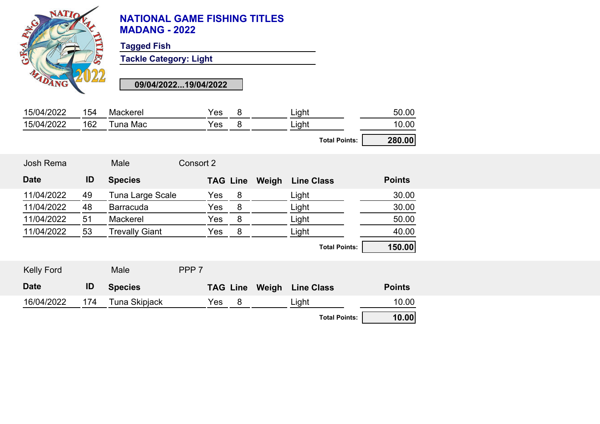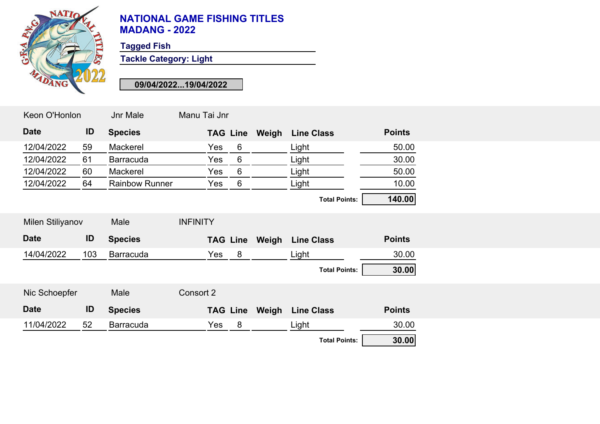

## **NATIONAL GAME FISHING TITLES MADANG - 2022**

**Tagged Fish**

**Tackle Category: Light**

**09/04/2022...19/04/2022**

| Keon O'Honlon           |     | Jnr Male              | Manu Tai Jnr    |                 |                       |                      |               |
|-------------------------|-----|-----------------------|-----------------|-----------------|-----------------------|----------------------|---------------|
| <b>Date</b>             | ID  | <b>Species</b>        |                 | <b>TAG Line</b> | Weigh                 | <b>Line Class</b>    | <b>Points</b> |
| 12/04/2022              | 59  | Mackerel              | Yes             | 6               |                       | Light                | 50.00         |
| 12/04/2022              | 61  | <b>Barracuda</b>      | Yes             | 6               |                       | Light                | 30.00         |
| 12/04/2022              | 60  | Mackerel              | Yes             | $6\phantom{1}$  |                       | Light                | 50.00         |
| 12/04/2022              | 64  | <b>Rainbow Runner</b> | Yes             | 6               |                       | Light                | 10.00         |
|                         |     |                       |                 |                 |                       | <b>Total Points:</b> | 140.00        |
| <b>Milen Stiliyanov</b> |     | Male                  | <b>INFINITY</b> |                 |                       |                      |               |
|                         |     |                       |                 |                 |                       |                      |               |
| <b>Date</b>             | ID  | <b>Species</b>        |                 |                 | <b>TAG Line Weigh</b> | <b>Line Class</b>    | <b>Points</b> |
| 14/04/2022              | 103 | <b>Barracuda</b>      | Yes             | 8 <sup>8</sup>  |                       | Light                | 30.00         |
|                         |     |                       |                 |                 |                       | <b>Total Points:</b> | 30.00         |
| Nic Schoepfer           |     | Male                  | Consort 2       |                 |                       |                      |               |
| <b>Date</b>             | ID  | <b>Species</b>        |                 |                 | <b>TAG Line Weigh</b> | <b>Line Class</b>    | <b>Points</b> |
| 11/04/2022              | 52  | <b>Barracuda</b>      | Yes             | 8               |                       | Light                | 30.00         |